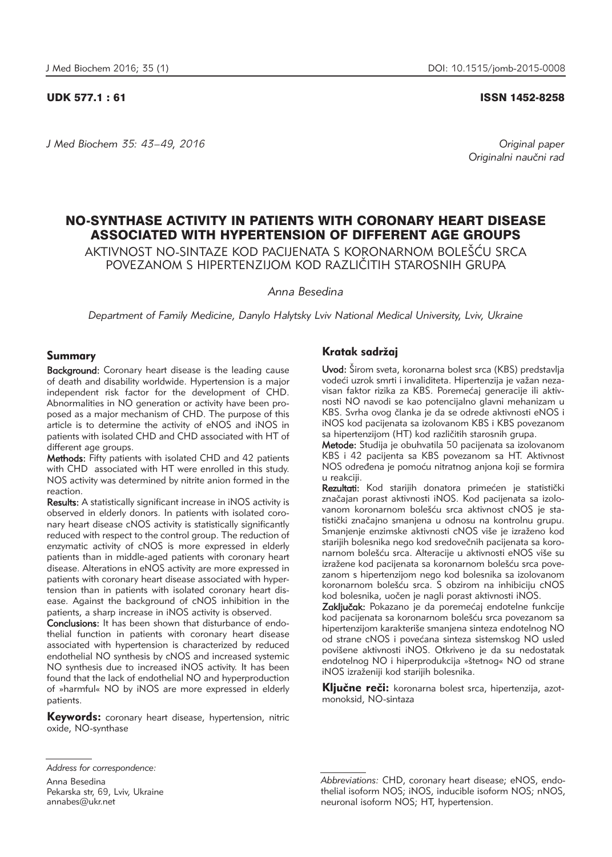*J Med Biochem 35: 43–49, 2016 Original paper*

## UDK 577.1 : 61 ISSN 1452-8258

Originalni naučni rad

# NO-SYNTHASE ACTIVITY IN PATIENTS WITH CORONARY HEART DISEASE ASSOCIATED WITH HYPERTENSION OF DIFFERENT AGE GROUPS

AKTIVNOST NO-SINTAZE KOD PACIJENATA S KORONARNOM BOLEŠĆIJ SRCA POVEZANOM S HIPERTENZIJOM KOD RAZLI^ITIH STAROSNIH GRUPA

*Anna Besedina*

*Department of Family Medicine, Danylo Halytsky Lviv National Medical University, Lviv, Ukraine*

## Summary

Background: Coronary heart disease is the leading cause of death and disability worldwide. Hypertension is a major independent risk factor for the development of CHD. Abnormalities in NO generation or activity have been proposed as a major mechanism of CHD. The purpose of this article is to determine the activity of eNOS and iNOS in patients with isolated CHD and CHD associated with HT of different age groups.

Methods: Fifty patients with isolated CHD and 42 patients with CHD associated with HT were enrolled in this study. NOS activity was determined by nitrite anion formed in the reaction.

Results: A statistically significant increase in iNOS activity is observed in elderly donors. In patients with isolated coronary heart disease cNOS activity is statistically significantly reduced with respect to the control group. The reduction of enzymatic activity of cNOS is more expressed in elderly patients than in middle-aged patients with coronary heart disease. Alterations in eNOS activity are more expressed in patients with coronary heart disease associated with hypertension than in patients with isolated coronary heart disease. Against the background of cNOS inhibition in the patients, a sharp increase in iNOS activity is observed.

Conclusions: It has been shown that disturbance of endothelial function in patients with coronary heart disease associated with hypertension is characterized by reduced endothelial NO synthesis by cNOS and increased systemic NO synthesis due to increased iNOS activity. It has been found that the lack of endothelial NO and hyperproduction of »harmful« NO by iNOS are more expressed in elderly patients.

Keywords: coronary heart disease, hypertension, nitric oxide, NO-synthase

## Kratak sadržaj

Uvod: Širom sveta, koronarna bolest srca (KBS) predstavlja vodeći uzrok smrti i invaliditeta. Hipertenzija je važan nezavisan faktor rizika za KBS. Poremećaj generacije ili aktivnosti NO navodi se kao potencijalno glavni mehanizam u KBS. Svrha ovog članka je da se odrede aktivnosti eNOS i iNOS kod pacijenata sa izolovanom KBS i KBS povezanom sa hipertenzijom (HT) kod različitih starosnih grupa.

Metode: Studija je obuhvatila 50 pacijenata sa izolovanom KBS i 42 pacijenta sa KBS povezanom sa HT. Aktivnost NOS određena je pomoću nitratnog anjona koji se formira u reakciji.

Rezultati: Kod starijih donatora primećen je statistički značajan porast aktivnosti iNOS. Kod pacijenata sa izolovanom koronarnom bolešću srca aktivnost cNOS je statistički značajno smanjena u odnosu na kontrolnu grupu. Smanjenje enzimske aktivnosti cNOS više je izraženo kod starijih bolesnika nego kod sredovečnih pacijenata sa koronarnom bolešću srca. Alteracije u aktivnosti eNOS više su izražene kod pacijenata sa koronarnom bolešću srca povezanom s hipertenzijom nego kod bolesnika sa izolovanom koronarnom bolešću srca. S obzirom na inhibiciju cNOS kod bolesnika, uočen je nagli porast aktivnosti iNOS.

Zaključak: Pokazano je da poremećaj endotelne funkcije kod pacijenata sa koronarnom bolešću srca povezanom sa hipertenzijom karakteriše smanjena sinteza endotelnog NO od strane cNOS i povećana sinteza sistemskog NO usled povišene aktivnosti iNOS. Otkriveno je da su nedostatak endotelnog NO i hiperprodukcija »štetnog« NO od strane iNOS izraženiji kod starijih bolesnika.

Ključne reči: koronarna bolest srca, hipertenzija, azotmonoksid, NO-sintaza

*Address for correspondence:*  Anna Besedina

Pekarska str, 69, Lviv, Ukraine annabes@ukr.net

Abbreviations: CHD, coronary heart disease; eNOS, endothelial isoform NOS; iNOS, inducible isoform NOS; nNOS, neuronal isoform NOS; HT, hypertension.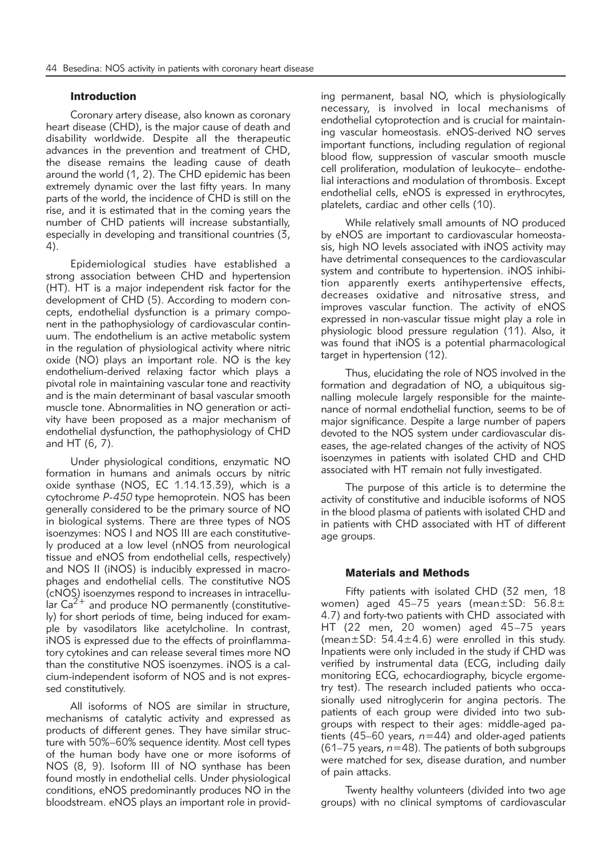## Introduction

Coronary artery disease, also known as coronary heart disease (CHD), is the major cause of death and disability worldwide. Despite all the therapeutic advances in the prevention and treatment of CHD, the disease remains the leading cause of death around the world (1, 2). The CHD epidemic has been extremely dynamic over the last fifty years. In many parts of the world, the incidence of CHD is still on the rise, and it is estimated that in the coming years the number of CHD patients will increase substantially, especially in developing and transitional countries (3, 4).

Epidemiological studies have established a strong association between CHD and hypertension (HT). HT is a major independent risk factor for the development of CHD (5). According to modern concepts, endothelial dysfunction is a primary component in the pathophysiology of cardiovascular continuum. The endothelium is an active metabolic system in the regulation of physiological activity where nitric oxide (NO) plays an important role. NO is the key endothelium-derived relaxing factor which plays a pivotal role in maintaining vascular tone and reactivity and is the main determinant of basal vascular smooth muscle tone. Abnormalities in NO generation or activity have been proposed as a major mechanism of endothelial dysfunction, the pathophysiology of CHD and HT (6, 7).

Under physiological conditions, enzymatic NO formation in humans and animals occurs by nitric oxide synthase (NOS, EC 1.14.13.39), which is a cytochrome *P*-*450* type hemoprotein. NOS has been generally considered to be the primary source of NO in biological systems. There are three types of NOS isoenzymes: NOS I and NOS III are each constitutively produced at a low level (nNOS from neurological tissue and eNOS from endothelial cells, respectively) and NOS II (iNOS) is inducibly expressed in macrophages and endothelial cells. The constitutive NOS (cNOS) isoenzymes respond to increases in intracellular  $Ca^{2+}$  and produce NO permanently (constitutively) for short periods of time, being induced for example by vasodilators like acetylcholine. In contrast, iNOS is expressed due to the effects of proinflammatory cytokines and can release several times more NO than the constitutive NOS isoenzymes. iNOS is a calcium-independent isoform of NOS and is not expressed constitutively.

All isoforms of NOS are similar in structure, mechanisms of catalytic activity and expressed as products of different genes. They have similar structure with 50%–60% sequence identity. Most cell types of the human body have one or more isoforms of NOS (8, 9). Isoform III of NO synthase has been found mostly in endothelial cells. Under physiological conditions, eNOS predominantly produces NO in the bloodstream. eNOS plays an important role in provid-

ing permanent, basal NO, which is physiologically necessary, is involved in local mechanisms of endothelial cytoprotection and is crucial for maintaining vascular homeostasis. eNOS-derived NO serves important functions, including regulation of regional blood flow, suppression of vascular smooth muscle cell proliferation, modulation of leukocyte– endothelial interactions and modulation of thrombosis. Except endothelial cells, eNOS is expressed in erythrocytes, platelets, cardiac and other cells (10).

While relatively small amounts of NO produced by eNOS are important to cardiovascular homeostasis, high NO levels associated with iNOS activity may have detrimental consequences to the cardiovascular system and contribute to hypertension. iNOS inhibition apparently exerts antihypertensive effects, decreases oxidative and nitrosative stress, and improves vascular function. The activity of eNOS expressed in non-vascular tissue might play a role in physiologic blood pressure regulation (11). Also, it was found that iNOS is a potential pharmacological target in hypertension (12).

Thus, elucidating the role of NOS involved in the formation and degradation of NO, a ubiquitous signalling molecule largely responsible for the maintenance of normal endothelial function, seems to be of major significance. Despite a large number of papers devoted to the NOS system under cardiovascular diseases, the age-related changes of the activity of NOS isoenzymes in patients with isolated CHD and CHD associated with HT remain not fully investigated.

The purpose of this article is to determine the activity of constitutive and inducible isoforms of NOS in the blood plasma of patients with isolated CHD and in patients with CHD associated with HT of different age groups.

#### Materials and Methods

Fifty patients with isolated CHD (32 men, 18 women) aged 45–75 years (mean±SD: 56.8± 4.7) and forty-two patients with CHD associated with HT (22 men, 20 women) aged 45–75 years (mean $\pm$ SD: 54.4 $\pm$ 4.6) were enrolled in this study. Inpatients were only included in the study if CHD was verified by instrumental data (ECG, including daily monitoring ECG, echocardiography, bicycle ergometry test). The research included patients who occasionally used nitroglycerin for angina pectoris. The patients of each group were divided into two subgroups with respect to their ages: middle-aged patients (45–60 years, *n*=44) and older-aged patients (61–75 years, *n*=48). The patients of both subgroups were matched for sex, disease duration, and number of pain attacks.

Twenty healthy volunteers (divided into two age groups) with no clinical symptoms of cardiovascular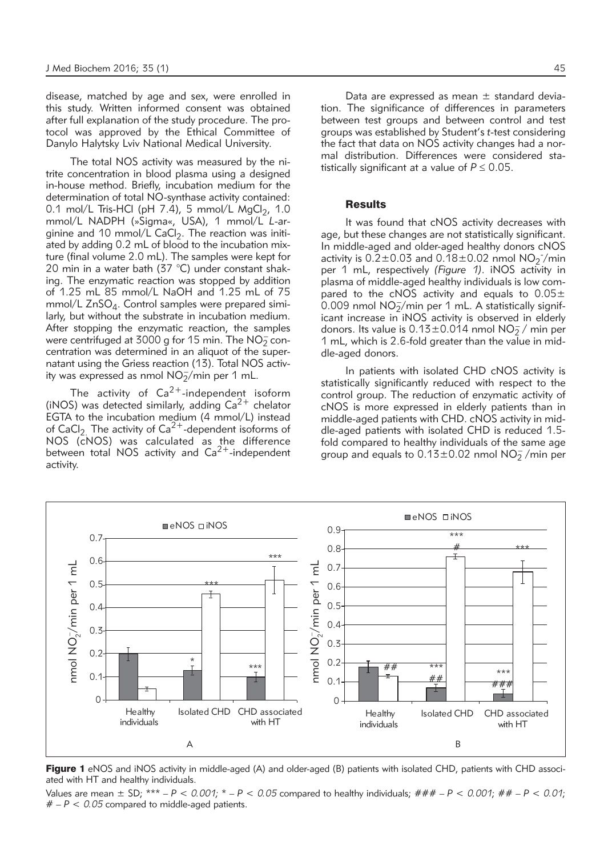disease, matched by age and sex, were enrolled in this study. Written informed consent was obtained after full explanation of the study procedure. The protocol was approved by the Ethical Committee of Danylo Halytsky Lviv National Medical University*.*

The total NOS activity was measured by the nitrite concentration in blood plasma using a designed in-house method. Briefly, incubation medium for the determination of total NO-synthase activity contained: 0.1 mol/L Tris-HCl (pH 7.4), 5 mmol/L  $MgCl_2$ , 1.0 mmol/L NADPH (»Sigma«, USA), 1 mmol/L *L*-ar ginine and 10 mmol/L CaCl $_2$ . The reaction was initiated by adding 0.2 mL of blood to the incubation mixture (final volume 2.0 mL). The samples were kept for 20 min in a water bath (37 $^{\circ}$ C) under constant shaking. The enzymatic reaction was stopped by addition of 1.25 mL 85 mmol/L NaOH and 1.25 mL of 75  $mmol/L ZnSO<sub>4</sub>$ . Control samples were prepared similarly, but without the substrate in incubation medium. After stopping the enzymatic reaction, the samples were centrifuged at 3000 g for 15 min. The  $NO_2^-$  concentration was determined in an aliquot of the supernatant using the Griess reaction (13). Total NOS activity was expressed as nmol  $NO<sub>2</sub>/min$  per 1 mL.

The activity of  $\text{Ca}^{2+}$ -independent isoform (iNOS) was detected similarly, adding  $Ca^{2+}$  chelator EGTA to the incubation medium (4 mmol/L) instead of CaCl<sub>2.</sub> The activity of Ca<sup>2+</sup>-dependent isoforms of NOS (cNOS) was calculated as the difference between total NOS activity and  $Ca^{2+}$ -independent activity.

Data are expressed as mean  $\pm$  standard deviation. The significance of differences in parameters between test groups and between control and test groups was established by Student's *t*-test considering the fact that data on NOS activity changes had a normal distribution. Differences were considered statistically significant at a value of  $P \le 0.05$ .

## **Results**

It was found that cNOS activity decreases with age, but these changes are not statistically significant. In middle-aged and older-aged healthy donors cNOS activity is  $0.2\pm0.03$  and  $0.18\pm0.02$  nmol  $NO_2^-/min$ per 1 mL, respectively *(Figure 1)*. iNOS activity in plasma of middle-aged healthy individuals is low compared to the cNOS activity and equals to  $0.05\pm$ 0.009 nmol  $NO<sub>2</sub>/min$  per 1 mL. A statistically significant increase in iNOS activity is observed in elderly donors. Its value is  $0.13\pm0.014$  nmol  $NO_2^-/$  min per 1 mL, which is 2.6-fold greater than the value in middle-aged donors.

In patients with isolated CHD cNOS activity is statistically significantly reduced with respect to the control group. The reduction of enzymatic activity of cNOS is more expressed in elderly patients than in middle-aged patients with CHD. cNOS activity in middle-aged patients with isolated CHD is reduced 1.5 fold compared to healthy individuals of the same age group and equals to  $0.13 \pm 0.02$  nmol NO $_2^-$ /min per



Figure 1 eNOS and iNOS activity in middle-aged (A) and older-aged (B) patients with isolated CHD, patients with CHD associated with HT and healthy individuals.

Values are mean  $\pm$  SD; \*\*\* – *P* < 0.001; \* – *P* < 0.05 compared to healthy individuals;  $\# \# \# - P$  < 0.001;  $\# \# - P$  < 0.01;  $# - P < 0.05$  compared to middle-aged patients.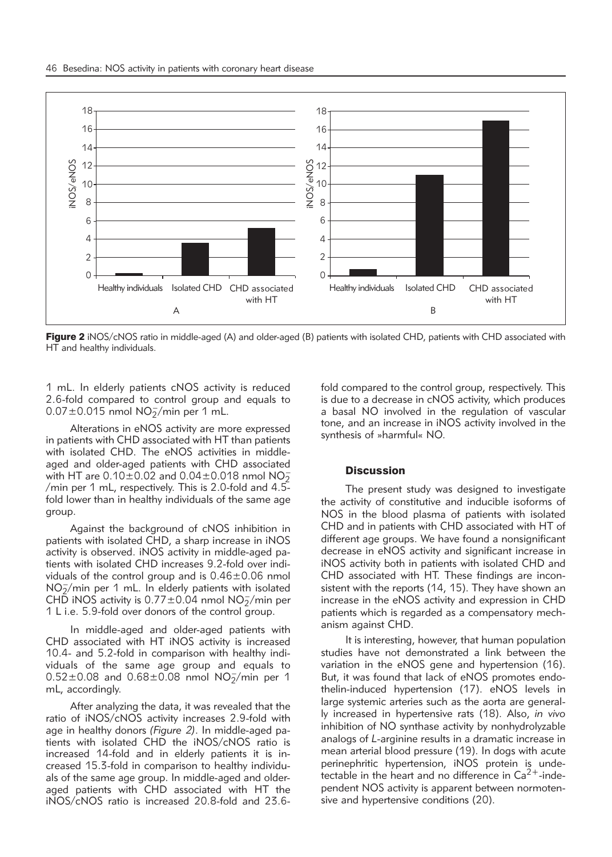

Figure 2 iNOS/cNOS ratio in middle-aged (A) and older-aged (B) patients with isolated CHD, patients with CHD associated with HT and healthy individuals.

1 mL. In elderly patients cNOS activity is reduced 2.6-fold compared to control group and equals to  $0.07 \pm 0.015$  nmol  $NO<sub>2</sub>/min$  per 1 mL.

Alterations in eNOS activity are more expressed in patients with CHD associated with HT than patients with isolated CHD. The eNOS activities in middleaged and older-aged patients with CHD associated with HT are  $0.10\pm0.02$  and  $0.04\pm0.018$  nmol NO<sub>2</sub> /min per 1 mL, respectively. This is 2.0-fold and 4.5 fold lower than in healthy individuals of the same age group.

Against the background of cNOS inhibition in patients with isolated CHD, a sharp increase in iNOS activity is observed. iNOS activity in middle-aged patients with isolated CHD increases 9.2-fold over individuals of the control group and is 0.46±0.06 nmol NO<sub>2</sub>/min per 1 mL. In elderly patients with isolated CH $\acute{\textsf{D}}$  iNOS activity is 0.77 $\pm$ 0.04 nmol NO $_2^-$ /min per 1 L i.e. 5.9-fold over donors of the control group.

In middle-aged and older-aged patients with CHD associated with HT iNOS activity is increased 10.4- and 5.2-fold in comparison with healthy individuals of the same age group and equals to  $0.52\pm0.08$  and  $0.68\pm0.08$  nmol  $NO_{\bar{2}}/min$  per 1 mL, accordingly.

After analyzing the data, it was revealed that the ratio of iNOS/cNOS activity increases 2.9-fold with age in healthy donors *(Figure 2)*. In middle-aged patients with isolated CHD the iNOS/cNOS ratio is increased 14-fold and in elderly patients it is increased 15.3-fold in comparison to healthy individuals of the same age group. In middle-aged and olderaged patients with CHD associated with HT the iNOS/cNOS ratio is increased 20.8-fold and 23.6fold compared to the control group, respectively. This is due to a decrease in cNOS activity, which produces a basal NO involved in the regulation of vascular tone, and an increase in iNOS activity involved in the synthesis of »harmful« NO.

## **Discussion**

The present study was designed to investigate the activity of constitutive and inducible isoforms of NOS in the blood plasma of patients with isolated CHD and in patients with CHD associated with HT of different age groups. We have found a nonsignificant decrease in eNOS activity and significant increase in iNOS activity both in patients with isolated CHD and CHD associated with HT. These findings are inconsistent with the reports (14, 15). They have shown an increase in the eNOS activity and expression in CHD patients which is regarded as a compensatory mechanism against CHD.

It is interesting, however, that human population studies have not demonstrated a link between the variation in the eNOS gene and hypertension (16). But, it was found that lack of eNOS promotes endothelin-induced hypertension (17). eNOS levels in large systemic arteries such as the aorta are generally increased in hypertensive rats (18). Also, *in vivo* inhibition of NO synthase activity by nonhydrolyzable analogs of *L*-arginine results in a dramatic increase in mean arterial blood pressure (19). In dogs with acute perinephritic hypertension, iNOS protein is undetectable in the heart and no difference in  $Ca^{2+}$ -independent NOS activity is apparent between normotensive and hypertensive conditions (20).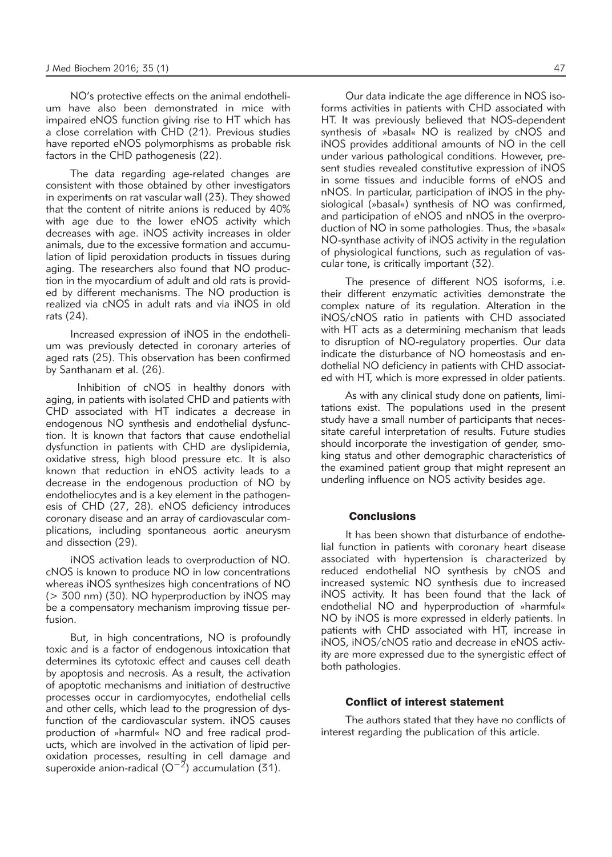NO's protective effects on the animal endothelium have also been demonstrated in mice with impaired eNOS function giving rise to HT which has a close correlation with CHD (21). Previous studies have reported eNOS polymorphisms as probable risk factors in the CHD pathogenesis (22).

The data regarding age-related changes are consistent with those obtained by other investigators in experiments on rat vascular wall (23). They showed that the content of nitrite anions is reduced by 40% with age due to the lower eNOS activity which decreases with age. iNOS activity increases in older animals, due to the excessive formation and accumulation of lipid peroxidation products in tissues during aging. The researchers also found that NO production in the myocardium of adult and old rats is provided by different mechanisms. The NO production is realized via cNOS in adult rats and via iNOS in old rats (24).

Increased expression of iNOS in the endothelium was previously detected in coronary arteries of aged rats (25). This observation has been confirmed by Santhanam et al. (26).

Inhibition of cNOS in healthy donors with aging, in patients with isolated CHD and patients with CHD associated with HT indicates a decrease in endogenous NO synthesis and endothelial dysfunction. It is known that factors that cause endothelial dysfunction in patients with CHD are dyslipidemia, oxidative stress, high blood pressure etc. It is also known that reduction in eNOS activity leads to a decrease in the endogenous production of NO by endotheliocytes and is a key element in the pathogenesis of CHD (27, 28). eNOS deficiency introduces coronary disease and an array of cardiovascular complications, including spontaneous aortic aneurysm and dissection (29).

iNOS activation leads to overproduction of NO. cNOS is known to produce NO in low concentrations whereas iNOS synthesizes high concentrations of NO (> 300 nm) (30). NO hyperproduction by iNOS may be a compensatory mechanism improving tissue perfusion.

But, in high concentrations, NO is profoundly toxic and is a factor of endogenous intoxication that determines its cytotoxic effect and causes cell death by apoptosis and necrosis. As a result, the activation of apoptotic mechanisms and initiation of destructive processes occur in cardiomyocytes, endothelial cells and other cells, which lead to the progression of dysfunction of the cardiovascular system. iNOS causes production of »harmful« NO and free radical products, which are involved in the activation of lipid peroxidation processes, resulting in cell damage and superoxide anion-radical ( $O^{-2}$ ) accumulation (31).

Our data indicate the age difference in NOS isoforms activities in patients with CHD associated with HT. It was previously believed that NOS-dependent synthesis of »basal« NO is realized by cNOS and iNOS provides additional amounts of NO in the cell under various pathological conditions. However, present studies revealed constitutive expression of iNOS in some tissues and inducible forms of eNOS and nNOS. In particular, participation of iNOS in the physiological (»basal«) synthesis of NO was confirmed, and participation of eNOS and nNOS in the overproduction of NO in some pathologies. Thus, the »basal« NO-synthase activity of iNOS activity in the regulation of physiological functions, such as regulation of vascular tone, is critically important (32).

The presence of different NOS isoforms, i.e. their different enzymatic activities demonstrate the complex nature of its regulation. Alteration in the iNOS/cNOS ratio in patients with CHD associated with HT acts as a determining mechanism that leads to disruption of NO-regulatory properties. Our data indicate the disturbance of NO homeostasis and endothelial NO deficiency in patients with CHD associated with HT, which is more expressed in older patients.

As with any clinical study done on patients, limitations exist. The populations used in the present study have a small number of participants that necessitate careful interpretation of results. Future studies should incorporate the investigation of gender, smoking status and other demographic characteristics of the examined patient group that might represent an underling influence on NOS activity besides age.

## **Conclusions**

It has been shown that disturbance of endothelial function in patients with coronary heart disease associated with hypertension is characterized by reduced endothelial NO synthesis by cNOS and increased systemic NO synthesis due to increased iNOS activity. It has been found that the lack of endothelial NO and hyperproduction of »harmful« NO by iNOS is more expressed in elderly patients. In patients with CHD associated with HT, increase in iNOS, iNOS/cNOS ratio and decrease in eNOS activity are more expressed due to the synergistic effect of both pathologies.

#### Conflict of interest statement

The authors stated that they have no conflicts of interest regarding the publication of this article.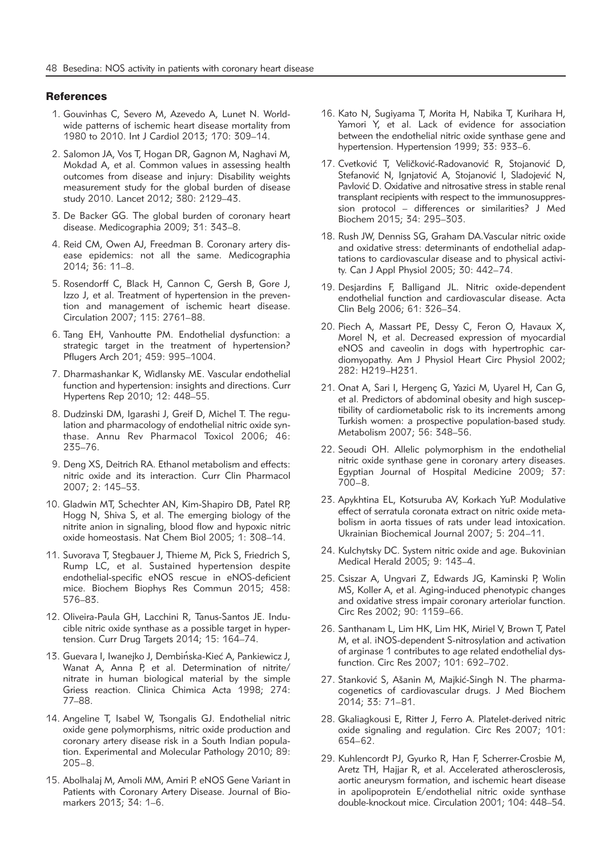#### **References**

- 1. Gouvinhas C, Severo M, Azevedo A, Lunet N. Worldwide patterns of ischemic heart disease mortality from 1980 to 2010. Int J Cardiol 2013; 170: 309–14.
- 2. Salomon JA, Vos T, Hogan DR, Gagnon M, Naghavi M, Mokdad A, et al. Common values in assessing health outcomes from disease and injury: Disability weights measurement study for the global burden of disease study 2010. Lancet 2012; 380: 2129–43.
- 3. De Backer GG. The global burden of coronary heart disease. Medicographia 2009; 31: 343–8.
- 4. Reid CM, Owen AJ, Freedman B. Coronary artery disease epidemics: not all the same. Medicographia 2014; 36: 11–8.
- 5. Rosendorff C, Black H, Cannon C, Gersh B, Gore J, Izzo J, et al. Treatment of hypertension in the prevention and management of ischemic heart disease. Circulation 2007; 115: 2761–88.
- 6. Tang EH, Vanhoutte PM. Endothelial dysfunction: a strategic target in the treatment of hypertension? Pflugers Arch 201; 459: 995–1004.
- 7. Dharmashankar K, Widlansky ME. Vascular endothelial function and hypertension: insights and directions. Curr Hypertens Rep 2010; 12: 448–55.
- 8. Dudzinski DM, Igarashi J, Greif D, Michel T. The regulation and pharmacology of endothelial nitric oxide synthase. Annu Rev Pharmacol Toxicol 2006; 46: 235–76.
- 9. Deng XS, Deitrich RA. Ethanol metabolism and effects: nitric oxide and its interaction. Curr Clin Pharmacol 2007; 2: 145–53.
- 10. Gladwin MT, Schechter AN, Kim-Shapiro DB, Patel RP, Hogg N, Shiva S, et al. The emerging biology of the nitrite anion in signaling, blood flow and hypoxic nitric oxide homeostasis. Nat Chem Biol 2005; 1: 308–14.
- 11. Suvorava T, Stegbauer J, Thieme M, Pick S, Friedrich S, Rump LC, et al. Sustained hypertension despite endothelial-specific eNOS rescue in eNOS-deficient mice. Biochem Biophys Res Commun 2015; 458: 576–83.
- 12. Oliveira-Paula GH, Lacchini R, Tanus-Santos JE, Inducible nitric oxide synthase as a possible target in hypertension. Curr Drug Targets 2014; 15: 164–74.
- 13. Guevara I, Iwanejko J, Dembińska-Kieć A, Pankiewicz J, Wanat A, Anna P, et al. Determination of nitrite/ nitrate in human biological material by the simple Griess reaction. Clinica Chimica Acta 1998; 274: 77–88.
- 14. Angeline T, Isabel W, Tsongalis GJ. Endothelial nitric oxide gene polymorphisms, nitric oxide production and coronary artery disease risk in a South Indian population. Experimental and Molecular Pathology 2010; 89: 205–8.
- 15. Abolhalaj M, Amoli MM, Amiri P. eNOS Gene Variant in Patients with Coronary Artery Disease. Journal of Biomarkers 2013; 34: 1–6.
- 16. Kato N, Sugiyama T, Morita H, Nabika T, Kurihara H, Yamori Y, et al. Lack of evidence for association between the endothelial nitric oxide synthase gene and hypertension. Hypertension 1999; 33: 933-6.
- 17. Cvetković T, Veličković-Radovanović R, Stojanović D, Stefanović N, Ignjatović A, Stojanović I, Sladojević N, Pavlović D. Oxidative and nitrosative stress in stable renal transplant recipients with respect to the immunosuppression protocol – differences or similarities? J Med Biochem 2015; 34: 295–303.
- 18. Rush JW, Denniss SG, Graham DA.Vascular nitric oxide and oxidative stress: determinants of endothelial adaptations to cardiovascular disease and to physical activity. Can J Appl Physiol 2005; 30: 442–74.
- 19. Desjardins F, Balligand JL. Nitric oxide-dependent endo thelial function and cardiovascular disease. Acta Clin Belg 2006; 61: 326–34.
- 20. Piech A, Massart PE, Dessy C, Feron O, Havaux X, Morel N, et al. Decreased expression of myocardial eNOS and caveolin in dogs with hypertrophic cardiomyopathy. Am J Physiol Heart Circ Physiol 2002; 282: H219–H231.
- 21. Onat A, Sari I, Hergenç G, Yazici M, Uyarel H, Can G, et al. Predictors of abdominal obesity and high susceptibility of cardiometabolic risk to its increments among Turkish women: a prospective population-based study. Metabolism 2007; 56: 348-56.
- 22. Seoudi OH. Allelic polymorphism in the endothelial nitric oxide synthase gene in coronary artery diseases. Egyptian Journal of Hospital Medicine 2009; 37: 700–8.
- 23. Apykhtina EL, Kotsuruba AV, Korkach YuP. Modulative effect of serratula coronata extract on nitric oxide metabolism in aorta tissues of rats under lead intoxication. Ukrainian Biochemical Journal 2007; 5: 204–11.
- 24. Kulchytsky DC. System nitric oxide and age. Bukovinian Medical Herald 2005; 9: 143–4.
- 25. Csiszar A, Ungvari Z, Edwards JG, Kaminski P, Wolin MS, Koller A, et al. Aging-induced phenotypic changes and oxidative stress impair coronary arteriolar function. Circ Res 2002; 90: 1159–66.
- 26. Santhanam L, Lim HK, Lim HK, Miriel V, Brown T, Patel M, et al. iNOS-dependent S-nitrosylation and activation of arginase 1 contributes to age related endothelial dysfunction. Circ Res 2007; 101: 692–702.
- 27. Stanković S, Ašanin M, Majkić-Singh N. The pharmacogenetics of cardiovascular drugs. J Med Biochem 2014; 33: 71–81.
- 28. Gkaliagkousi E, Ritter J, Ferro A. Platelet-derived nitric oxide signaling and regulation. Circ Res 2007; 101: 654–62.
- 29. Kuhlencordt PJ, Gyurko R, Han F, Scherrer-Crosbie M, Aretz TH, Hajjar R, et al. Accelerated atherosclerosis, aortic aneurysm formation, and ischemic heart disease in apolipoprotein E/endothelial nitric oxide synthase double-knockout mice. Circulation 2001; 104: 448–54.